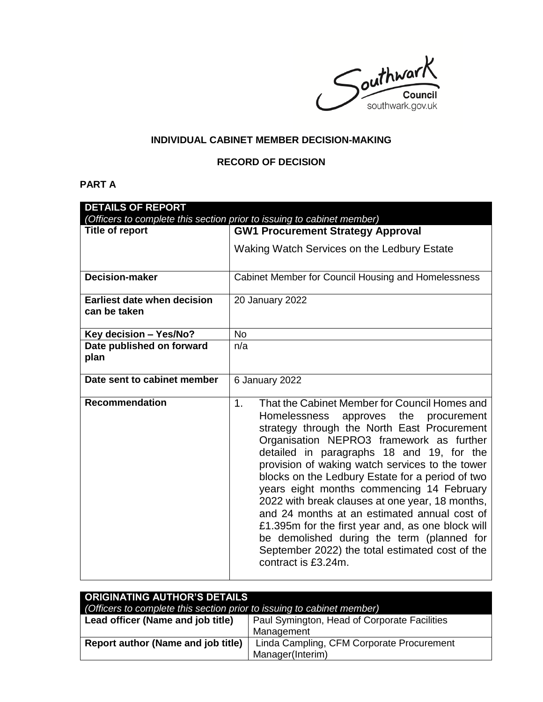Southwark southwark.gov.uk

# **INDIVIDUAL CABINET MEMBER DECISION-MAKING**

## **RECORD OF DECISION**

# **PART A**

| <b>DETAILS OF REPORT</b>                                               |                                                                                                                                                                                                                                                                                                                                                                                                                                                                                                                                                                                                                                                                                         |  |
|------------------------------------------------------------------------|-----------------------------------------------------------------------------------------------------------------------------------------------------------------------------------------------------------------------------------------------------------------------------------------------------------------------------------------------------------------------------------------------------------------------------------------------------------------------------------------------------------------------------------------------------------------------------------------------------------------------------------------------------------------------------------------|--|
| (Officers to complete this section prior to issuing to cabinet member) |                                                                                                                                                                                                                                                                                                                                                                                                                                                                                                                                                                                                                                                                                         |  |
| Title of report                                                        | <b>GW1 Procurement Strategy Approval</b>                                                                                                                                                                                                                                                                                                                                                                                                                                                                                                                                                                                                                                                |  |
|                                                                        | Waking Watch Services on the Ledbury Estate                                                                                                                                                                                                                                                                                                                                                                                                                                                                                                                                                                                                                                             |  |
| <b>Decision-maker</b>                                                  | Cabinet Member for Council Housing and Homelessness                                                                                                                                                                                                                                                                                                                                                                                                                                                                                                                                                                                                                                     |  |
| <b>Earliest date when decision</b><br>can be taken                     | 20 January 2022                                                                                                                                                                                                                                                                                                                                                                                                                                                                                                                                                                                                                                                                         |  |
| Key decision - Yes/No?                                                 | <b>No</b>                                                                                                                                                                                                                                                                                                                                                                                                                                                                                                                                                                                                                                                                               |  |
| Date published on forward<br>plan                                      | n/a                                                                                                                                                                                                                                                                                                                                                                                                                                                                                                                                                                                                                                                                                     |  |
| Date sent to cabinet member                                            | 6 January 2022                                                                                                                                                                                                                                                                                                                                                                                                                                                                                                                                                                                                                                                                          |  |
| <b>Recommendation</b>                                                  | That the Cabinet Member for Council Homes and<br>1 <sub>1</sub><br>Homelessness approves the<br>procurement<br>strategy through the North East Procurement<br>Organisation NEPRO3 framework as further<br>detailed in paragraphs 18 and 19, for the<br>provision of waking watch services to the tower<br>blocks on the Ledbury Estate for a period of two<br>years eight months commencing 14 February<br>2022 with break clauses at one year, 18 months,<br>and 24 months at an estimated annual cost of<br>£1.395m for the first year and, as one block will<br>be demolished during the term (planned for<br>September 2022) the total estimated cost of the<br>contract is £3.24m. |  |

| <b>ORIGINATING AUTHOR'S DETAILS</b>                                    |                                              |  |
|------------------------------------------------------------------------|----------------------------------------------|--|
| (Officers to complete this section prior to issuing to cabinet member) |                                              |  |
| Lead officer (Name and job title)                                      | Paul Symington, Head of Corporate Facilities |  |
|                                                                        | Management                                   |  |
| Report author (Name and job title)                                     | Linda Campling, CFM Corporate Procurement    |  |
|                                                                        | Manager(Interim)                             |  |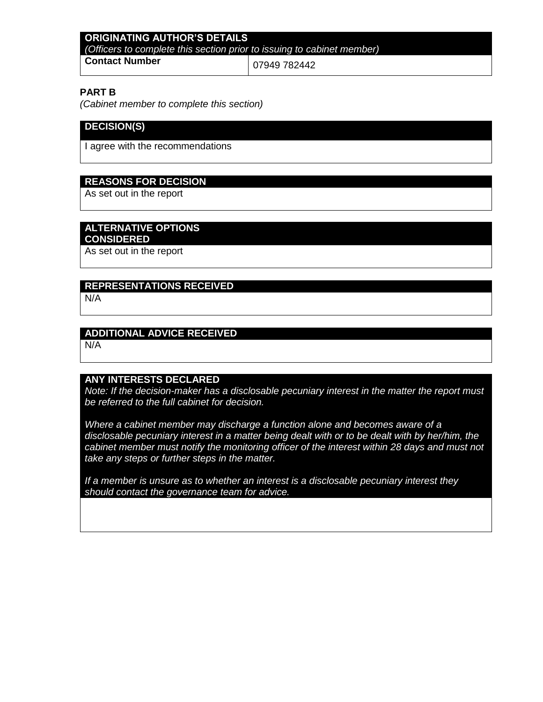### **ORIGINATING AUTHOR'S DETAILS** *(Officers to complete this section prior to issuing to cabinet member)* **Contact Number** 07949 782442

#### **PART B**

*(Cabinet member to complete this section)* 

# **DECISION(S)**

I agree with the recommendations

#### **REASONS FOR DECISION**

As set out in the report

#### **ALTERNATIVE OPTIONS**

#### **CONSIDERED**

As set out in the report

# **REPRESENTATIONS RECEIVED**

N/A

#### **ADDITIONAL ADVICE RECEIVED**

N/A

#### **ANY INTERESTS DECLARED**

*Note: If the decision-maker has a disclosable pecuniary interest in the matter the report must be referred to the full cabinet for decision.*

*Where a cabinet member may discharge a function alone and becomes aware of a disclosable pecuniary interest in a matter being dealt with or to be dealt with by her/him, the*  cabinet member must notify the monitoring officer of the interest within 28 days and must not *take any steps or further steps in the matter.*

*If a member is unsure as to whether an interest is a disclosable pecuniary interest they should contact the governance team for advice.*